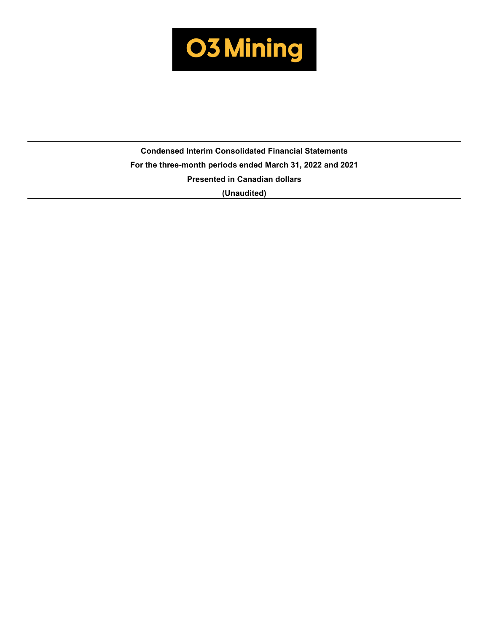

**Condensed Interim Consolidated Financial Statements For the three-month periods ended March 31, 2022 and 2021 Presented in Canadian dollars (Unaudited)**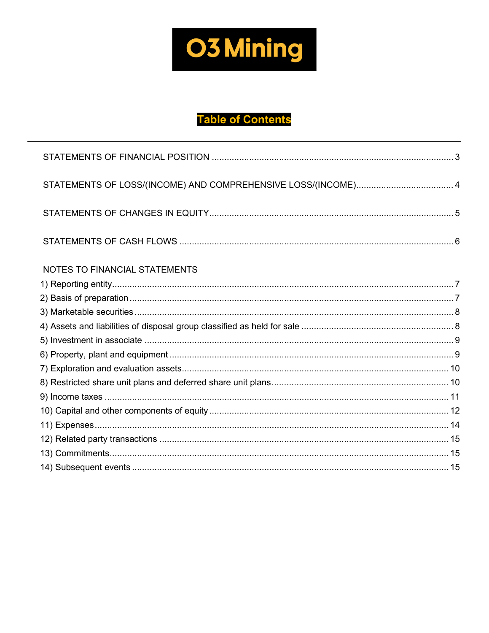

# **Table of Contents**

| STATEMENTS OF LOSS/(INCOME) AND COMPREHENSIVE LOSS/(INCOME) 4 |  |
|---------------------------------------------------------------|--|
|                                                               |  |
|                                                               |  |
| <b>NOTES TO FINANCIAL STATEMENTS</b>                          |  |
|                                                               |  |
|                                                               |  |
|                                                               |  |
|                                                               |  |
|                                                               |  |
|                                                               |  |
|                                                               |  |
|                                                               |  |
|                                                               |  |
|                                                               |  |
|                                                               |  |
|                                                               |  |
|                                                               |  |
|                                                               |  |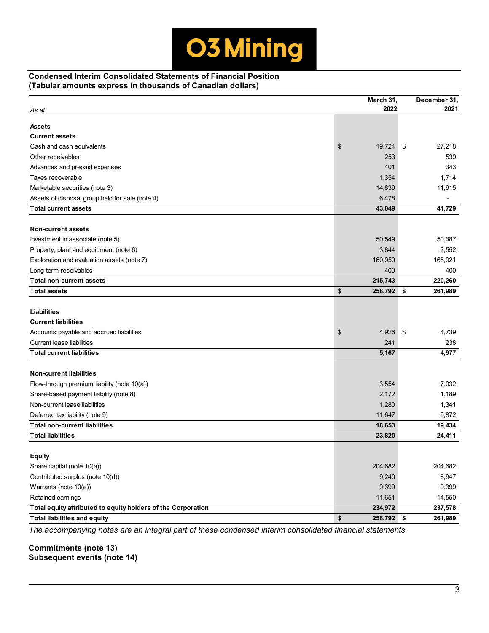## **Condensed Interim Consolidated Statements of Financial Position (Tabular amounts express in thousands of Canadian dollars)**

| As at                                                        | March 31,<br>2022 | December 31,<br>2021 |
|--------------------------------------------------------------|-------------------|----------------------|
| <b>Assets</b>                                                |                   |                      |
| <b>Current assets</b>                                        |                   |                      |
| Cash and cash equivalents                                    | \$<br>19,724      | \$<br>27,218         |
| Other receivables                                            | 253               | 539                  |
| Advances and prepaid expenses                                | 401               | 343                  |
| Taxes recoverable                                            | 1,354             | 1,714                |
| Marketable securities (note 3)                               | 14,839            | 11,915               |
| Assets of disposal group held for sale (note 4)              | 6,478             |                      |
| <b>Total current assets</b>                                  | 43,049            | 41,729               |
|                                                              |                   |                      |
| <b>Non-current assets</b>                                    |                   |                      |
| Investment in associate (note 5)                             | 50,549            | 50,387               |
| Property, plant and equipment (note 6)                       | 3,844             | 3,552                |
| Exploration and evaluation assets (note 7)                   | 160,950           | 165,921              |
| Long-term receivables                                        | 400               | 400                  |
| <b>Total non-current assets</b>                              | 215,743           | 220,260              |
| <b>Total assets</b>                                          | \$<br>258,792     | 261,989<br>\$        |
|                                                              |                   |                      |
| <b>Liabilities</b>                                           |                   |                      |
| <b>Current liabilities</b>                                   |                   |                      |
| Accounts payable and accrued liabilities                     | 4,926<br>\$       | \$<br>4,739          |
| <b>Current lease liabilities</b>                             | 241               | 238                  |
| <b>Total current liabilities</b>                             | 5,167             | 4,977                |
| <b>Non-current liabilities</b>                               |                   |                      |
| Flow-through premium liability (note $10(a)$ )               | 3,554             | 7,032                |
| Share-based payment liability (note 8)                       | 2,172             | 1,189                |
| Non-current lease liabilities                                | 1,280             | 1,341                |
| Deferred tax liability (note 9)                              | 11,647            | 9,872                |
| <b>Total non-current liabilities</b>                         | 18,653            | 19,434               |
| <b>Total liabilities</b>                                     | 23,820            | 24,411               |
|                                                              |                   |                      |
| <b>Equity</b>                                                |                   |                      |
| Share capital (note 10(a))                                   | 204,682           | 204,682              |
| Contributed surplus (note 10(d))                             | 9,240             | 8,947                |
| Warrants (note 10(e))                                        | 9,399             | 9,399                |
| Retained earnings                                            | 11,651            | 14,550               |
| Total equity attributed to equity holders of the Corporation | 234,972           | 237,578              |
| <b>Total liabilities and equity</b>                          | \$<br>258,792 \$  | 261,989              |

*The accompanying notes are an integral part of these condensed interim consolidated financial statements.* 

**Commitments (note 13) Subsequent events (note 14)**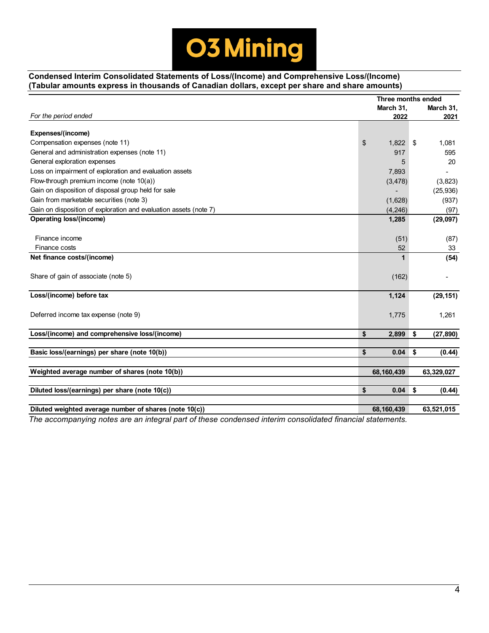

# **Condensed Interim Consolidated Statements of Loss/(Income) and Comprehensive Loss/(Income) (Tabular amounts express in thousands of Canadian dollars, except per share and share amounts)**

|                                                                                                          | Three months ended |                 |
|----------------------------------------------------------------------------------------------------------|--------------------|-----------------|
|                                                                                                          | March 31,          | March 31,       |
| For the period ended                                                                                     | 2022               | 2021            |
| Expenses/(income)                                                                                        |                    |                 |
| Compensation expenses (note 11)                                                                          | \$<br>1,822        | \$<br>1,081     |
| General and administration expenses (note 11)                                                            | 917                | 595             |
| General exploration expenses                                                                             | 5                  | 20              |
| Loss on impairment of exploration and evaluation assets                                                  | 7,893              |                 |
| Flow-through premium income (note 10(a))                                                                 | (3, 478)           | (3,823)         |
| Gain on disposition of disposal group held for sale                                                      |                    | (25, 936)       |
| Gain from marketable securities (note 3)                                                                 | (1,628)            | (937)           |
| Gain on disposition of exploration and evaluation assets (note 7)                                        | (4, 246)           | (97)            |
| Operating loss/(income)                                                                                  | 1,285              | (29, 097)       |
|                                                                                                          |                    |                 |
| Finance income                                                                                           | (51)               | (87)            |
| Finance costs                                                                                            | 52                 | 33              |
| Net finance costs/(income)                                                                               | $\mathbf 1$        | (54)            |
|                                                                                                          |                    |                 |
| Share of gain of associate (note 5)                                                                      | (162)              |                 |
|                                                                                                          |                    |                 |
| Loss/(income) before tax                                                                                 | 1,124              | (29, 151)       |
|                                                                                                          |                    |                 |
| Deferred income tax expense (note 9)                                                                     | 1,775              | 1,261           |
|                                                                                                          |                    |                 |
| Loss/(income) and comprehensive loss/(income)                                                            | \$<br>2,899        | \$<br>(27, 890) |
|                                                                                                          |                    |                 |
| Basic loss/(earnings) per share (note 10(b))                                                             | \$<br>0.04         | \$<br>(0.44)    |
|                                                                                                          |                    |                 |
| Weighted average number of shares (note 10(b))                                                           | 68,160,439         | 63,329,027      |
|                                                                                                          |                    |                 |
| Diluted loss/(earnings) per share (note 10(c))                                                           | \$<br>0.04         | \$<br>(0.44)    |
|                                                                                                          |                    |                 |
| Diluted weighted average number of shares (note 10(c))                                                   | 68,160,439         | 63,521,015      |
| The accompanying notes are an integral part of these condensed interim consolidated financial statements |                    |                 |

*The accompanying notes are an integral part of these condensed interim consolidated financial statements.*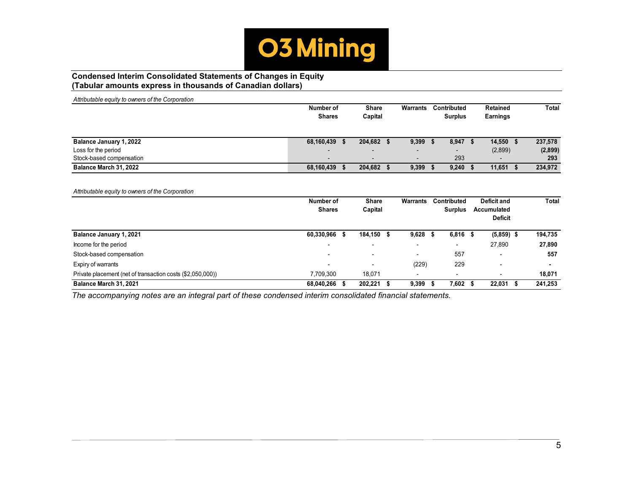

## **Condensed Interim Consolidated Statements of Changes in Equity (Tabular amounts express in thousands of Canadian dollars)**

| Attributable equity to owners of the Corporation |               |           |            |       |                          |      |                          |      |                               |              |
|--------------------------------------------------|---------------|-----------|------------|-------|--------------------------|------|--------------------------|------|-------------------------------|--------------|
|                                                  |               | Number of |            | Share |                          |      | Contributed              |      | <b>Retained</b>               | <b>Total</b> |
|                                                  | <b>Shares</b> |           | Capital    |       |                          |      | <b>Surplus</b>           |      | <b>Earnings</b>               |              |
| Balance January 1, 2022                          | 68,160,439    | -\$       | 204,682    | \$    | $9,399$ \$               |      | $8,947$ \$               |      | $14,550$ \$                   | 237,578      |
| Loss for the period                              |               |           |            |       |                          |      |                          |      | (2,899)                       | (2,899)      |
| Stock-based compensation                         | ٠             |           | -          |       | $\overline{\phantom{0}}$ |      | 293                      |      |                               | 293          |
| Balance March 31, 2022                           | 68,160,439    | \$        | 204,682    | - \$  | 9,399                    | - 5  | 9,240                    | - 56 | $11,651$ \$                   | 234,972      |
|                                                  |               |           |            |       |                          |      |                          |      |                               |              |
| Attributable equity to owners of the Corporation |               |           |            |       |                          |      |                          |      |                               |              |
|                                                  | Number of     |           | Share      |       | <b>Warrants</b>          |      | Contributed              |      | <b>Deficit and</b>            | <b>Total</b> |
|                                                  | <b>Shares</b> |           | Capital    |       |                          |      | <b>Surplus</b>           |      | Accumulated<br><b>Deficit</b> |              |
| Balance January 1, 2021                          | 60,330,966    | -\$       | 184,150 \$ |       | 9,628                    | - \$ | $6,816$ \$               |      | $(5,859)$ \$                  | 194,735      |
| Income for the period                            |               |           |            |       |                          |      | $\overline{\phantom{0}}$ |      | 27,890                        | 27,890       |
| Stock-based compensation                         |               |           |            |       |                          |      | 557                      |      |                               | 557          |

Expiry of warrants - - (229) 229 - **-** Private placement (net of transaction costs (\$2,050,000) **7,709,300** 18,071 - - - - - - - - - 18,071 **Balance March 31, 2021 68,040,266 \$ 202,221 \$ 9,399 \$ 7,602 \$ 22,031 \$ 241,253**

*The accompanying notes are an integral part of these condensed interim consolidated financial statements.*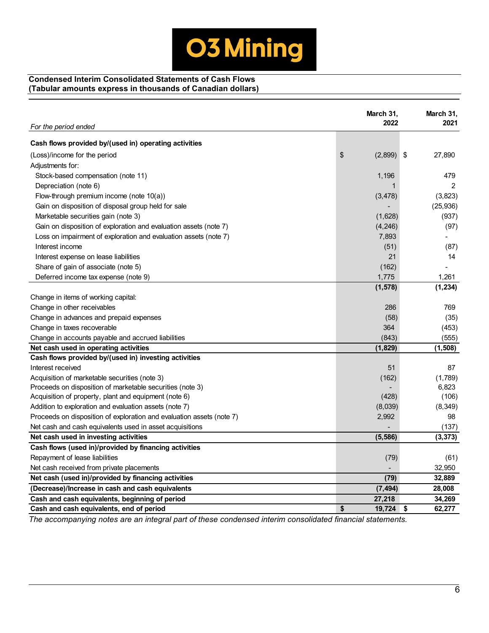## **Condensed Interim Consolidated Statements of Cash Flows (Tabular amounts express in thousands of Canadian dollars)**

|                                                                       | March 31,<br>2022 | March 31,<br>2021 |
|-----------------------------------------------------------------------|-------------------|-------------------|
| For the period ended                                                  |                   |                   |
| Cash flows provided by/(used in) operating activities                 |                   |                   |
| (Loss)/income for the period                                          | \$<br>(2,899)     | 27,890<br>\$      |
| Adjustments for:                                                      |                   |                   |
| Stock-based compensation (note 11)                                    | 1,196             | 479               |
| Depreciation (note 6)                                                 | $\mathbf 1$       | $\overline{2}$    |
| Flow-through premium income (note 10(a))                              | (3, 478)          | (3,823)           |
| Gain on disposition of disposal group held for sale                   |                   | (25, 936)         |
| Marketable securities gain (note 3)                                   | (1,628)           | (937)             |
| Gain on disposition of exploration and evaluation assets (note 7)     | (4,246)           | (97)              |
| Loss on impairment of exploration and evaluation assets (note 7)      | 7,893             |                   |
| Interest income                                                       | (51)              | (87)              |
| Interest expense on lease liabilities                                 | 21                | 14                |
| Share of gain of associate (note 5)                                   | (162)             |                   |
| Deferred income tax expense (note 9)                                  | 1,775             | 1,261             |
|                                                                       | (1, 578)          | (1, 234)          |
| Change in items of working capital:                                   |                   |                   |
| Change in other receivables                                           | 286               | 769               |
| Change in advances and prepaid expenses                               | (58)              | (35)              |
| Change in taxes recoverable                                           | 364               | (453)             |
| Change in accounts payable and accrued liabilities                    | (843)             | (555)             |
| Net cash used in operating activities                                 | (1,829)           | (1,508)           |
| Cash flows provided by/(used in) investing activities                 |                   |                   |
| Interest received                                                     | 51                | 87                |
| Acquisition of marketable securities (note 3)                         | (162)             | (1,789)           |
| Proceeds on disposition of marketable securities (note 3)             |                   | 6,823             |
| Acquisition of property, plant and equipment (note 6)                 | (428)             | (106)             |
| Addition to exploration and evaluation assets (note 7)                | (8,039)           | (8,349)           |
| Proceeds on disposition of exploration and evaluation assets (note 7) | 2,992             | 98                |
| Net cash and cash equivalents used in asset acquisitions              |                   | (137)             |
| Net cash used in investing activities                                 | (5, 586)          | (3, 373)          |
| Cash flows (used in)/provided by financing activities                 |                   |                   |
| Repayment of lease liabilities                                        | (79)              | (61)              |
| Net cash received from private placements                             |                   | 32,950            |
| Net cash (used in)/provided by financing activities                   | (79)              | 32,889            |
| (Decrease)/Increase in cash and cash equivalents                      | (7, 494)          | 28,008            |
| Cash and cash equivalents, beginning of period                        | 27,218            | 34,269            |
| Cash and cash equivalents, end of period                              | \$<br>19,724      | 62,277<br>\$      |

*The accompanying notes are an integral part of these condensed interim consolidated financial statements.*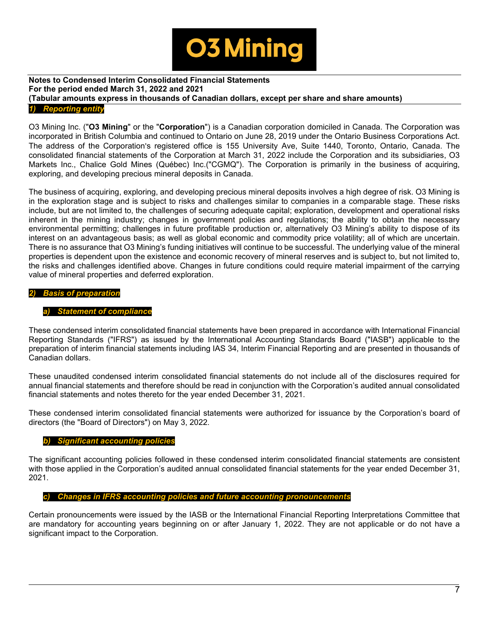

# **Notes to Condensed Interim Consolidated Financial Statements For the period ended March 31, 2022 and 2021 (Tabular amounts express in thousands of Canadian dollars, except per share and share amounts)**

#### *1) Reporting entity*

O3 Mining Inc. ("**O3 Mining**" or the "**Corporation**") is a Canadian corporation domiciled in Canada. The Corporation was incorporated in British Columbia and continued to Ontario on June 28, 2019 under the Ontario Business Corporations Act. The address of the Corporation's registered office is 155 University Ave, Suite 1440, Toronto, Ontario, Canada. The consolidated financial statements of the Corporation at March 31, 2022 include the Corporation and its subsidiaries, O3 Markets Inc., Chalice Gold Mines (Québec) Inc.("CGMQ"). The Corporation is primarily in the business of acquiring, exploring, and developing precious mineral deposits in Canada.

The business of acquiring, exploring, and developing precious mineral deposits involves a high degree of risk. O3 Mining is in the exploration stage and is subject to risks and challenges similar to companies in a comparable stage. These risks include, but are not limited to, the challenges of securing adequate capital; exploration, development and operational risks inherent in the mining industry; changes in government policies and regulations; the ability to obtain the necessary environmental permitting; challenges in future profitable production or, alternatively O3 Mining's ability to dispose of its interest on an advantageous basis; as well as global economic and commodity price volatility; all of which are uncertain. There is no assurance that O3 Mining's funding initiatives will continue to be successful. The underlying value of the mineral properties is dependent upon the existence and economic recovery of mineral reserves and is subject to, but not limited to, the risks and challenges identified above. Changes in future conditions could require material impairment of the carrying value of mineral properties and deferred exploration.

## *2) Basis of preparation*

## **Statement of compliance**

These condensed interim consolidated financial statements have been prepared in accordance with International Financial Reporting Standards ("IFRS") as issued by the International Accounting Standards Board ("IASB") applicable to the preparation of interim financial statements including IAS 34, Interim Financial Reporting and are presented in thousands of Canadian dollars.

These unaudited condensed interim consolidated financial statements do not include all of the disclosures required for annual financial statements and therefore should be read in conjunction with the Corporation's audited annual consolidated financial statements and notes thereto for the year ended December 31, 2021.

These condensed interim consolidated financial statements were authorized for issuance by the Corporation's board of directors (the "Board of Directors") on May 3, 2022.

#### *b) Significant accounting policies*

The significant accounting policies followed in these condensed interim consolidated financial statements are consistent with those applied in the Corporation's audited annual consolidated financial statements for the year ended December 31, 2021.

#### *c) Changes in IFRS accounting policies and future accounting pronouncements*

Certain pronouncements were issued by the IASB or the International Financial Reporting Interpretations Committee that are mandatory for accounting years beginning on or after January 1, 2022. They are not applicable or do not have a significant impact to the Corporation.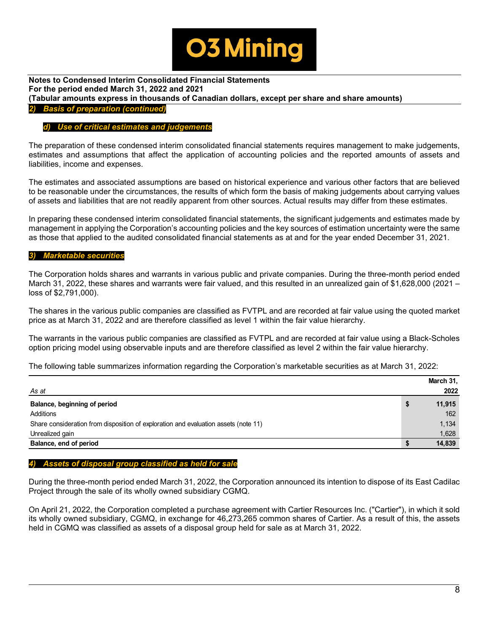

**Notes to Condensed Interim Consolidated Financial Statements For the period ended March 31, 2022 and 2021 (Tabular amounts express in thousands of Canadian dollars, except per share and share amounts)**  *2) Basis of preparation (continued)*

## *d) Use of critical estimates and judgements*

The preparation of these condensed interim consolidated financial statements requires management to make judgements, estimates and assumptions that affect the application of accounting policies and the reported amounts of assets and liabilities, income and expenses.

The estimates and associated assumptions are based on historical experience and various other factors that are believed to be reasonable under the circumstances, the results of which form the basis of making judgements about carrying values of assets and liabilities that are not readily apparent from other sources. Actual results may differ from these estimates.

In preparing these condensed interim consolidated financial statements, the significant judgements and estimates made by management in applying the Corporation's accounting policies and the key sources of estimation uncertainty were the same as those that applied to the audited consolidated financial statements as at and for the year ended December 31, 2021.

#### *3) Marketable securities*

The Corporation holds shares and warrants in various public and private companies. During the three-month period ended March 31, 2022, these shares and warrants were fair valued, and this resulted in an unrealized gain of \$1,628,000 (2021 – loss of \$2,791,000).

The shares in the various public companies are classified as FVTPL and are recorded at fair value using the quoted market price as at March 31, 2022 and are therefore classified as level 1 within the fair value hierarchy.

The warrants in the various public companies are classified as FVTPL and are recorded at fair value using a Black-Scholes option pricing model using observable inputs and are therefore classified as level 2 within the fair value hierarchy.

The following table summarizes information regarding the Corporation's marketable securities as at March 31, 2022:

|                                                                                     | March 31,    |
|-------------------------------------------------------------------------------------|--------------|
| As at                                                                               | 2022         |
| Balance, beginning of period                                                        | \$<br>11,915 |
| Additions                                                                           | 162          |
| Share consideration from disposition of exploration and evaluation assets (note 11) | 1,134        |
| Unrealized gain                                                                     | 1,628        |
| Balance, end of period                                                              | 14,839       |

## *4) Assets of disposal group classified as held for sale*

During the three-month period ended March 31, 2022, the Corporation announced its intention to dispose of its East Cadilac Project through the sale of its wholly owned subsidiary CGMQ.

On April 21, 2022, the Corporation completed a purchase agreement with Cartier Resources Inc. ("Cartier"), in which it sold its wholly owned subsidiary, CGMQ, in exchange for 46,273,265 common shares of Cartier. As a result of this, the assets held in CGMQ was classified as assets of a disposal group held for sale as at March 31, 2022.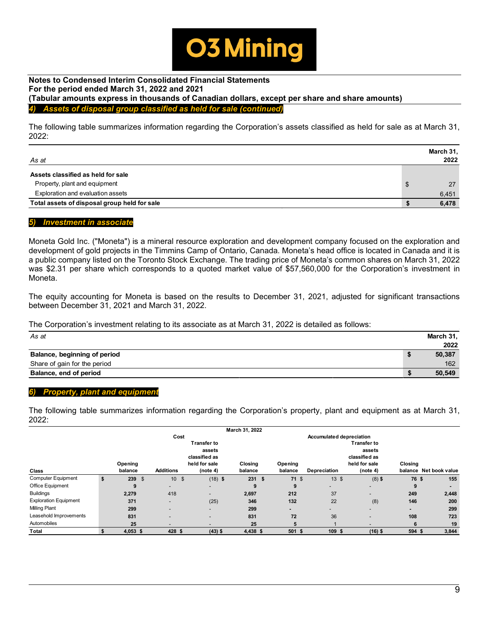

#### **Notes to Condensed Interim Consolidated Financial Statements For the period ended March 31, 2022 and 2021 (Tabular amounts express in thousands of Canadian dollars, except per share and share amounts)**  Assets of disposal group classified as held for sale *(co*

The following table summarizes information regarding the Corporation's assets classified as held for sale as at March 31, 2022:

| As at                                        | March 31,<br>2022 |
|----------------------------------------------|-------------------|
| Assets classified as held for sale           |                   |
| Property, plant and equipment                | \$<br>27          |
| Exploration and evaluation assets            | 6,451             |
| Total assets of disposal group held for sale | 6,478             |

#### *5) Investment in associate*

Moneta Gold Inc. ("Moneta") is a mineral resource exploration and development company focused on the exploration and development of gold projects in the Timmins Camp of Ontario, Canada. Moneta's head office is located in Canada and it is a public company listed on the Toronto Stock Exchange. The trading price of Moneta's common shares on March 31, 2022 was \$2.31 per share which corresponds to a quoted market value of \$57,560,000 for the Corporation's investment in Moneta.

The equity accounting for Moneta is based on the results to December 31, 2021, adjusted for significant transactions between December 31, 2021 and March 31, 2022.

The Corporation's investment relating to its associate as at March 31, 2022 is detailed as follows:

| As at                        | March 31, |
|------------------------------|-----------|
|                              | 2022      |
| Balance, beginning of period | 50,387    |
| Share of gain for the period | 162       |
| Balance, end of period       | 50,549    |

## *6) Property, plant and equipment*

The following table summarizes information regarding the Corporation's property, plant and equipment as at March 31, 2022:

|                              |            |                          |                          | March 31, 2022 |      |         |                                 |                          |              |                        |
|------------------------------|------------|--------------------------|--------------------------|----------------|------|---------|---------------------------------|--------------------------|--------------|------------------------|
|                              |            | Cost                     |                          |                |      |         | <b>Accumulated depreciation</b> |                          |              |                        |
|                              |            |                          | Transfer to              |                |      |         |                                 | <b>Transfer to</b>       |              |                        |
|                              |            |                          | assets                   |                |      |         |                                 | assets                   |              |                        |
|                              |            |                          | classified as            |                |      |         |                                 | classified as            |              |                        |
|                              | Opening    |                          | held for sale            | Closing        |      | Opening |                                 | held for sale            | Closing      |                        |
| Class                        | balance    | <b>Additions</b>         | (note 4)                 | balance        |      | balance | Depreciation                    | (note 4)                 |              | balance Net book value |
| <b>Computer Equipment</b>    | \$<br>239S | $10 \quad$ \$            | $(18)$ \$                |                | 231S | $71$ \$ | $13 \text{ }$ \$                | $(8)$ \$                 | <b>76 \$</b> | 155                    |
| Office Equipment             | 9          | $\overline{\phantom{a}}$ | ٠                        | 9              |      | 9       | $\overline{\phantom{a}}$        | $\overline{\phantom{0}}$ | 9            |                        |
| <b>Buildings</b>             | 2,279      | 418                      | ۰.                       | 2,697          |      | 212     | 37                              | $\overline{\phantom{0}}$ | 249          | 2,448                  |
| <b>Exploration Equipment</b> | 371        | $\overline{\phantom{a}}$ | (25)                     | 346            |      | 132     | 22                              | (8)                      | 146          | 200                    |
| <b>Milling Plant</b>         | 299        | $\overline{\phantom{0}}$ | -                        | 299            |      | -       |                                 | $\overline{\phantom{0}}$ |              | 299                    |
| Leasehold Improvements       | 831        | $\overline{\phantom{0}}$ | $\overline{\phantom{0}}$ | 831            |      | 72      | 36                              | $\overline{\phantom{0}}$ | 108          | 723                    |
| Automobiles                  | 25         | $\overline{\phantom{a}}$ | $\overline{\phantom{a}}$ | 25             |      | 5       |                                 | $\overline{\phantom{a}}$ | 6            | 19                     |
| Total                        | $4,053$ \$ | 428 \$                   | $(43)$ \$                | 4,438 \$       |      | 501 \$  | 109 \$                          | $(16)$ \$                | 594 \$       | 3,844                  |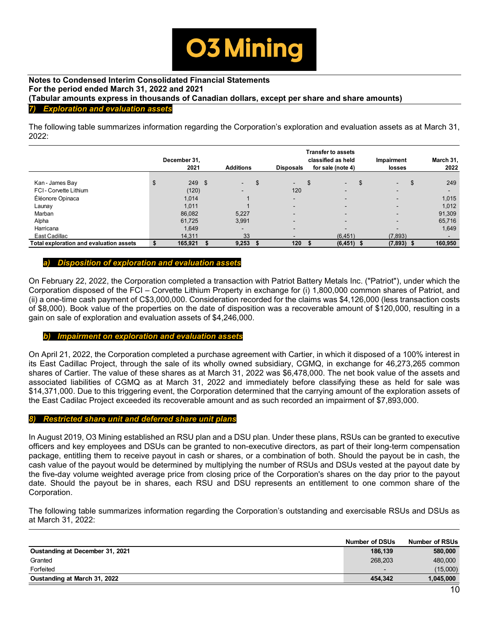

## **Notes to Condensed Interim Consolidated Financial Statements For the period ended March 31, 2022 and 2021 (Tabular amounts express in thousands of Canadian dollars, except per share and share amounts)**  *7) Exploration and evaluation assets*

The following table summarizes information regarding the Corporation's exploration and evaluation assets as at March 31, 2022:

|                                         | December 31,<br>2021 | <b>Additions</b> | <b>Disposals</b> | <b>Transfer to assets</b><br>classified as held<br>for sale (note 4) | <b>Impairment</b><br>losses | March 31,<br>2022        |
|-----------------------------------------|----------------------|------------------|------------------|----------------------------------------------------------------------|-----------------------------|--------------------------|
|                                         |                      |                  |                  |                                                                      |                             |                          |
| Kan - James Bay                         | \$<br>249 \$         | $\blacksquare$   | \$<br>$\sim$ $-$ | \$<br>$\sim$                                                         | \$<br>$\sim$                | 249                      |
| FCI-Corvette Lithium                    | (120)                |                  | 120              |                                                                      | $\sim$                      | $\overline{\phantom{a}}$ |
| Éléonore Opinaca                        | 1,014                |                  |                  |                                                                      |                             | 1,015                    |
| Launay                                  | 1,011                |                  |                  |                                                                      |                             | 1,012                    |
| Marban                                  | 86,082               | 5.227            | -                |                                                                      |                             | 91,309                   |
| Alpha                                   | 61,725               | 3,991            |                  |                                                                      |                             | 65,716                   |
| Harricana                               | 1,649                |                  | -                | -                                                                    |                             | 1,649                    |
| East Cadillac                           | 14.311               | 33               |                  | (6, 451)                                                             | (7,893)                     |                          |
| Total exploration and evaluation assets | \$<br>165,921        | 9,253            | 120              | $(6, 451)$ \$                                                        | $(7,893)$ \$                | 160,950                  |

#### *a) Disposition of exploration and evaluation assets*

On February 22, 2022, the Corporation completed a transaction with Patriot Battery Metals Inc. ("Patriot"), under which the Corporation disposed of the FCI – Corvette Lithium Property in exchange for (i) 1,800,000 common shares of Patriot, and (ii) a one-time cash payment of C\$3,000,000. Consideration recorded for the claims was \$4,126,000 (less transaction costs of \$8,000). Book value of the properties on the date of disposition was a recoverable amount of \$120,000, resulting in a gain on sale of exploration and evaluation assets of \$4,246,000.

#### *b) Impairment on exploration and evaluation assets*

On April 21, 2022, the Corporation completed a purchase agreement with Cartier, in which it disposed of a 100% interest in its East Cadillac Project, through the sale of its wholly owned subsidiary, CGMQ, in exchange for 46,273,265 common shares of Cartier. The value of these shares as at March 31, 2022 was \$6,478,000. The net book value of the assets and associated liabilities of CGMQ as at March 31, 2022 and immediately before classifying these as held for sale was \$14,371,000. Due to this triggering event, the Corporation determined that the carrying amount of the exploration assets of the East Cadilac Project exceeded its recoverable amount and as such recorded an impairment of \$7,893,000.

#### *8) Restricted share unit and deferred share unit plans*

In August 2019, O3 Mining established an RSU plan and a DSU plan. Under these plans, RSUs can be granted to executive officers and key employees and DSUs can be granted to non-executive directors, as part of their long-term compensation package, entitling them to receive payout in cash or shares, or a combination of both. Should the payout be in cash, the cash value of the payout would be determined by multiplying the number of RSUs and DSUs vested at the payout date by the five-day volume weighted average price from closing price of the Corporation's shares on the day prior to the payout date. Should the payout be in shares, each RSU and DSU represents an entitlement to one common share of the Corporation.

The following table summarizes information regarding the Corporation's outstanding and exercisable RSUs and DSUs as at March 31, 2022:

|                                 | <b>Number of DSUs</b>    | <b>Number of RSUs</b> |
|---------------------------------|--------------------------|-----------------------|
| Oustanding at December 31, 2021 | 186.139                  | 580,000               |
| Granted                         | 268,203                  | 480,000               |
| Forfeited                       | $\overline{\phantom{0}}$ | (15,000)              |
| Oustanding at March 31, 2022    | 454.342                  | 1.045.000             |
|                                 |                          |                       |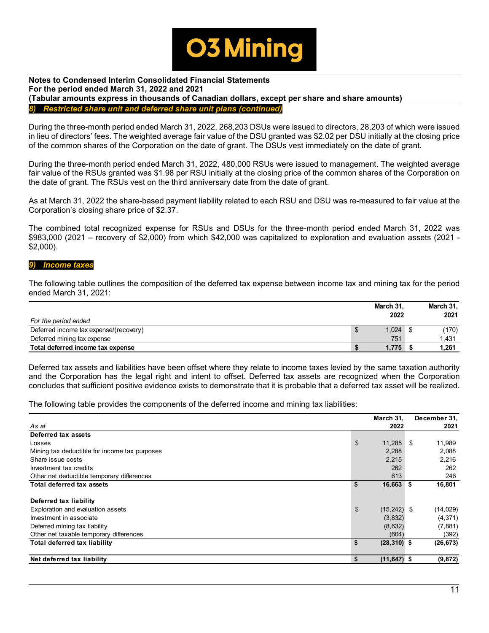

#### **Notes to Condensed Interim Consolidated Financial Statements For the period ended March 31, 2022 and 2021 (Tabular amounts express in thousands of Canadian dollars, except per share and share amounts)**  *Restricted share unit and deferred share unit plans (continue)*

During the three-month period ended March 31, 2022, 268,203 DSUs were issued to directors, 28,203 of which were issued in lieu of directors' fees. The weighted average fair value of the DSU granted was \$2.02 per DSU initially at the closing price of the common shares of the Corporation on the date of grant. The DSUs vest immediately on the date of grant.

During the three-month period ended March 31, 2022, 480,000 RSUs were issued to management. The weighted average fair value of the RSUs granted was \$1.98 per RSU initially at the closing price of the common shares of the Corporation on the date of grant. The RSUs vest on the third anniversary date from the date of grant.

As at March 31, 2022 the share-based payment liability related to each RSU and DSU was re-measured to fair value at the Corporation's closing share price of \$2.37.

The combined total recognized expense for RSUs and DSUs for the three-month period ended March 31, 2022 was \$983,000 (2021 – recovery of \$2,000) from which \$42,000 was capitalized to exploration and evaluation assets (2021 - \$2,000).

#### *9) Income taxes*

The following table outlines the composition of the deferred tax expense between income tax and mining tax for the period ended March 31, 2021:

| For the period ended                   |   | March 31.<br>2022 | March 31,<br>2021 |
|----------------------------------------|---|-------------------|-------------------|
| Deferred income tax expense/(recovery) | ъ | 1.024             | (170)             |
| Deferred mining tax expense            |   | 751               | 1,431             |
| Total deferred income tax expense      |   | 1.775             | 1,261             |

Deferred tax assets and liabilities have been offset where they relate to income taxes levied by the same taxation authority and the Corporation has the legal right and intent to offset. Deferred tax assets are recognized when the Corporation concludes that sufficient positive evidence exists to demonstrate that it is probable that a deferred tax asset will be realized.

The following table provides the components of the deferred income and mining tax liabilities:

|                                               |                | March 31,      | December 31, |
|-----------------------------------------------|----------------|----------------|--------------|
| As at                                         |                | 2022           | 2021         |
| Deferred tax assets                           |                |                |              |
| Losses                                        | $\mathfrak{s}$ | 11,285         | \$<br>11,989 |
| Mining tax deductible for income tax purposes |                | 2,288          | 2,088        |
| Share issue costs                             |                | 2,215          | 2,216        |
| Investment tax credits                        |                | 262            | 262          |
| Other net deductible temporary differences    |                | 613            | 246          |
| <b>Total deferred tax assets</b>              | \$             | 16,663 \$      | 16,801       |
| Deferred tax liability                        |                |                |              |
| Exploration and evaluation assets             | $\mathfrak{S}$ | $(15,242)$ \$  | (14, 029)    |
| Investment in associate                       |                | (3,832)        | (4, 371)     |
| Deferred mining tax liability                 |                | (8,632)        | (7,881)      |
| Other net taxable temporary differences       |                | (604)          | (392)        |
| <b>Total deferred tax liability</b>           | \$             | $(28, 310)$ \$ | (26, 673)    |
| Net deferred tax liability                    | \$             | $(11, 647)$ \$ | (9, 872)     |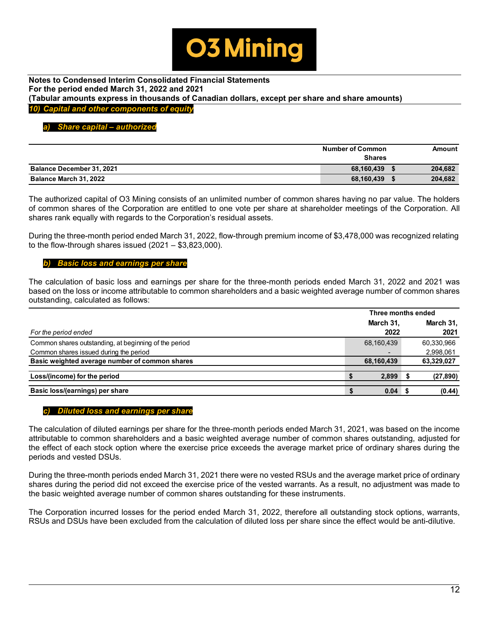

**Notes to Condensed Interim Consolidated Financial Statements For the period ended March 31, 2022 and 2021 (Tabular amounts express in thousands of Canadian dollars, except per share and share amounts)**  *10) Capital and other components of equity*

## *a) Share capital – authorized*

|                                  | <b>Number of Common</b><br><b>Shares</b> | Amount  |
|----------------------------------|------------------------------------------|---------|
| <b>Balance December 31, 2021</b> | 68.160.439                               | 204,682 |
| Balance March 31, 2022           | 68,160,439                               | 204,682 |

The authorized capital of O3 Mining consists of an unlimited number of common shares having no par value. The holders of common shares of the Corporation are entitled to one vote per share at shareholder meetings of the Corporation. All shares rank equally with regards to the Corporation's residual assets.

During the three-month period ended March 31, 2022, flow-through premium income of \$3,478,000 was recognized relating to the flow-through shares issued (2021 – \$3,823,000).

## *b) Basic loss and earnings per share*

The calculation of basic loss and earnings per share for the three-month periods ended March 31, 2022 and 2021 was based on the loss or income attributable to common shareholders and a basic weighted average number of common shares outstanding, calculated as follows:

|                                                       | Three months ended |            |  |            |
|-------------------------------------------------------|--------------------|------------|--|------------|
|                                                       |                    | March 31,  |  | March 31,  |
| For the period ended                                  |                    | 2022       |  | 2021       |
| Common shares outstanding, at beginning of the period |                    | 68,160,439 |  | 60,330,966 |
| Common shares issued during the period                |                    |            |  | 2,998,061  |
| Basic weighted average number of common shares        |                    | 68,160,439 |  | 63,329,027 |
| Loss/(income) for the period                          |                    | 2.899      |  | (27, 890)  |
| Basic loss/(earnings) per share                       |                    | 0.04       |  | (0.44)     |

#### *c) Diluted loss and earnings per share*

The calculation of diluted earnings per share for the three-month periods ended March 31, 2021, was based on the income attributable to common shareholders and a basic weighted average number of common shares outstanding, adjusted for the effect of each stock option where the exercise price exceeds the average market price of ordinary shares during the periods and vested DSUs.

During the three-month periods ended March 31, 2021 there were no vested RSUs and the average market price of ordinary shares during the period did not exceed the exercise price of the vested warrants. As a result, no adjustment was made to the basic weighted average number of common shares outstanding for these instruments.

The Corporation incurred losses for the period ended March 31, 2022, therefore all outstanding stock options, warrants, RSUs and DSUs have been excluded from the calculation of diluted loss per share since the effect would be anti-dilutive.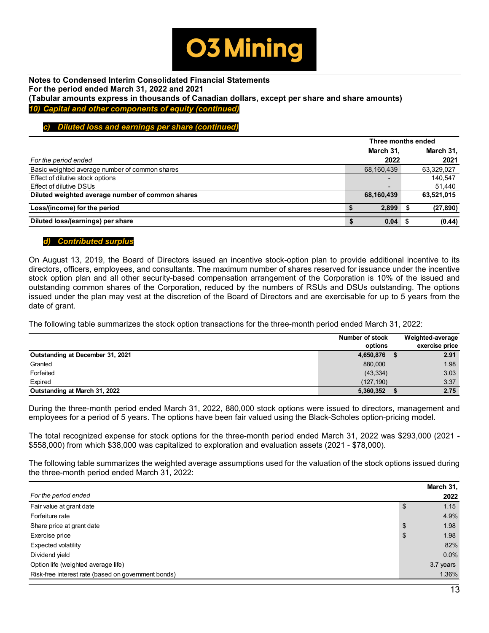

**Notes to Condensed Interim Consolidated Financial Statements For the period ended March 31, 2022 and 2021 (Tabular amounts express in thousands of Canadian dollars, except per share and share amounts)**  *10) Capital and other components of equity (continued)*

## *c) Diluted loss and earnings per share (continued)*

|                                                  |                          | Three months ended |            |  |  |
|--------------------------------------------------|--------------------------|--------------------|------------|--|--|
|                                                  | March 31,                |                    | March 31,  |  |  |
| For the period ended                             | 2022                     |                    | 2021       |  |  |
| Basic weighted average number of common shares   | 68,160,439               |                    | 63,329,027 |  |  |
| Effect of dilutive stock options                 | $\overline{\phantom{a}}$ |                    | 140.547    |  |  |
| Effect of dilutive DSUs                          | $\overline{\phantom{a}}$ |                    | 51,440     |  |  |
| Diluted weighted average number of common shares | 68,160,439               |                    | 63,521,015 |  |  |
| Loss/(income) for the period                     | 2,899                    |                    | (27, 890)  |  |  |
| Diluted loss/(earnings) per share                | 0.04                     |                    | (0.44)     |  |  |

#### *d) Contributed surplus*

On August 13, 2019, the Board of Directors issued an incentive stock-option plan to provide additional incentive to its directors, officers, employees, and consultants. The maximum number of shares reserved for issuance under the incentive stock option plan and all other security-based compensation arrangement of the Corporation is 10% of the issued and outstanding common shares of the Corporation, reduced by the numbers of RSUs and DSUs outstanding. The options issued under the plan may vest at the discretion of the Board of Directors and are exercisable for up to 5 years from the date of grant.

The following table summarizes the stock option transactions for the three-month period ended March 31, 2022:

|                                  | Number of stock | Weighted-average |
|----------------------------------|-----------------|------------------|
|                                  | options         | exercise price   |
| Outstanding at December 31, 2021 | 4,650,876       | 2.91             |
| Granted                          | 880,000         | 1.98             |
| Forfeited                        | (43, 334)       | 3.03             |
| Expired                          | (127.190)       | 3.37             |
| Outstanding at March 31, 2022    | 5,360,352       | 2.75             |

During the three-month period ended March 31, 2022, 880,000 stock options were issued to directors, management and employees for a period of 5 years. The options have been fair valued using the Black-Scholes option-pricing model.

The total recognized expense for stock options for the three-month period ended March 31, 2022 was \$293,000 (2021 - \$558,000) from which \$38,000 was capitalized to exploration and evaluation assets (2021 - \$78,000).

The following table summarizes the weighted average assumptions used for the valuation of the stock options issued during the three-month period ended March 31, 2022:

|                                                     | March 31,  |
|-----------------------------------------------------|------------|
| For the period ended                                | 2022       |
| Fair value at grant date                            | \$<br>1.15 |
| Forfeiture rate                                     | 4.9%       |
| Share price at grant date                           | \$<br>1.98 |
| Exercise price                                      | \$<br>1.98 |
| Expected volatility                                 | 82%        |
| Dividend yield                                      | 0.0%       |
| Option life (weighted average life)                 | 3.7 years  |
| Risk-free interest rate (based on government bonds) | 1.36%      |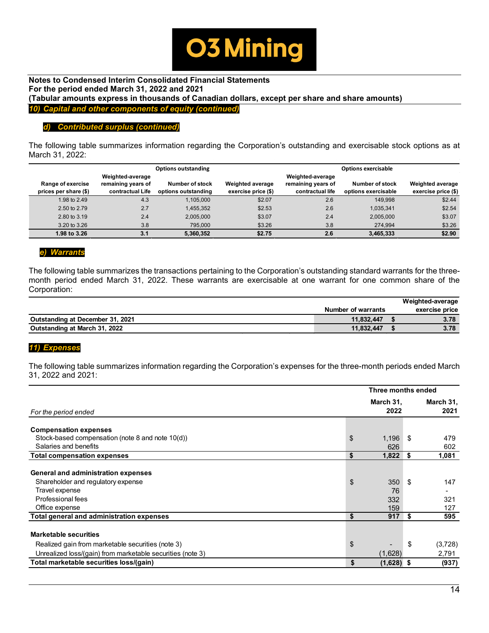

**Notes to Condensed Interim Consolidated Financial Statements For the period ended March 31, 2022 and 2021 (Tabular amounts express in thousands of Canadian dollars, except per share and share amounts)**  *10) Capital and other components of equity (continued)*

# *d) Contributed surplus (continued)*

The following table summarizes information regarding the Corporation's outstanding and exercisable stock options as at March 31, 2022:

|                                            |                                                            | <b>Options outstanding</b>             |                                                | <b>Options exercisable</b>                                 |                                               |                                                |
|--------------------------------------------|------------------------------------------------------------|----------------------------------------|------------------------------------------------|------------------------------------------------------------|-----------------------------------------------|------------------------------------------------|
| Range of exercise<br>prices per share (\$) | Weighted-average<br>remaining years of<br>contractual Life | Number of stock<br>options outstanding | <b>Weighted average</b><br>exercise price (\$) | Weighted-average<br>remaining years of<br>contractual life | <b>Number of stock</b><br>options exercisable | <b>Weighted average</b><br>exercise price (\$) |
| 1.98 to 2.49                               | 4.3                                                        | 1.105.000                              | \$2.07                                         | 2.6                                                        | 149.998                                       | \$2.44                                         |
| 2.50 to 2.79                               | 2.7                                                        | 1,455,352                              | \$2.53                                         | 2.6                                                        | 1.035.341                                     | \$2.54                                         |
| 2.80 to 3.19                               | 2.4                                                        | 2,005,000                              | \$3.07                                         | 2.4                                                        | 2,005,000                                     | \$3.07                                         |
| 3.20 to 3.26                               | 3.8                                                        | 795,000                                | \$3.26                                         | 3.8                                                        | 274.994                                       | \$3.26                                         |
| 1.98 to 3.26                               | 3.1                                                        | 5.360.352                              | \$2.75                                         | 2.6                                                        | 3.465.333                                     | \$2.90                                         |

# *e) Warrants*

The following table summarizes the transactions pertaining to the Corporation's outstanding standard warrants for the threemonth period ended March 31, 2022. These warrants are exercisable at one warrant for one common share of the Corporation:

|                                  |                           | Weighted-average |
|----------------------------------|---------------------------|------------------|
|                                  | <b>Number of warrants</b> | exercise price   |
| Outstanding at December 31, 2021 | 11.832.447                | 3.78             |
| Outstanding at March 31, 2022    | 11,832,447                | 3.78             |

# *11) Expenses*

The following table summarizes information regarding the Corporation's expenses for the three-month periods ended March 31, 2022 and 2021:

|                                                                           | Three months ended |          |                   |
|---------------------------------------------------------------------------|--------------------|----------|-------------------|
| For the period ended                                                      | March 31,<br>2022  |          | March 31,<br>2021 |
| <b>Compensation expenses</b>                                              |                    |          |                   |
| Stock-based compensation (note 8 and note 10(d))                          | \$<br>1,196        | S        | 479               |
| Salaries and benefits                                                     | 626                |          | 602               |
| <b>Total compensation expenses</b>                                        | \$<br>1,822        | <b>S</b> | 1,081             |
| General and administration expenses<br>Shareholder and regulatory expense | \$<br>350          | \$       | 147               |
| Travel expense<br>Professional fees<br>Office expense                     | 76<br>332<br>159   |          | -<br>321<br>127   |
| Total general and administration expenses                                 | \$<br>917          | S.       | 595               |
| <b>Marketable securities</b>                                              |                    |          |                   |
| Realized gain from marketable securities (note 3)                         | \$                 | \$       | (3,728)           |
| Unrealized loss/(gain) from marketable securities (note 3)                | (1,628)            |          | 2,791             |
| Total marketable securities loss/(gain)                                   | \$<br>$(1,628)$ \$ |          | (937)             |